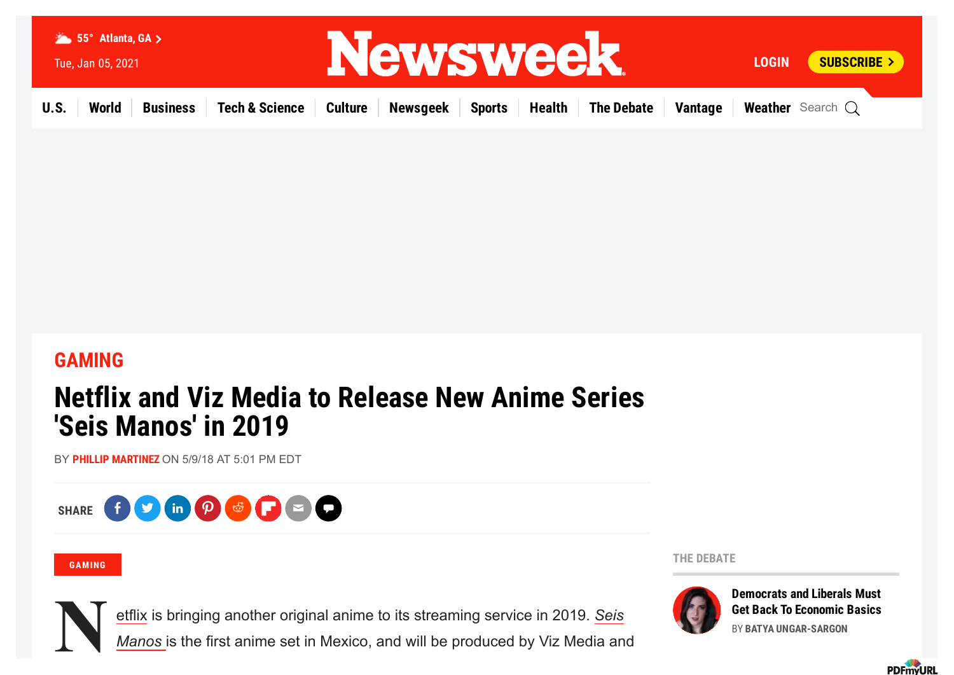

## **[GAMING](https://www.newsweek.com/gaming)**

# **Netflix and Viz Media to Release New Anime Series 'Seis Manos' in 2019**

BY **PHILLIP [MARTINEZ](https://www.newsweek.com/authors/phillip-martinez)** ON 5/9/18 AT 5:01 PM EDT



#### **[GAMING](https://www.newsweek.com/gaming)**

**Example 19 Expanding** Bet Back To Economic Basics<br>Manos is the first anime set in Mexico, and will be produced by Viz Media and<br>Manos is the first anime set in Mexico, and will be produced by Viz Media and [etflix is bringing another original anime to its streaming service in 2019.](https://www.netflix.com/title/80217066) *Seis*

*Manos* is the first anime set in Mexico, and will be produced by Viz Media and

**THE [DEBATE](https://www.newsweek.com/the-debate)**



**[Democrats](https://www.newsweek.com/democrats-liberals-must-get-back-economic-basics-opinion-1556510) and Liberals Must**

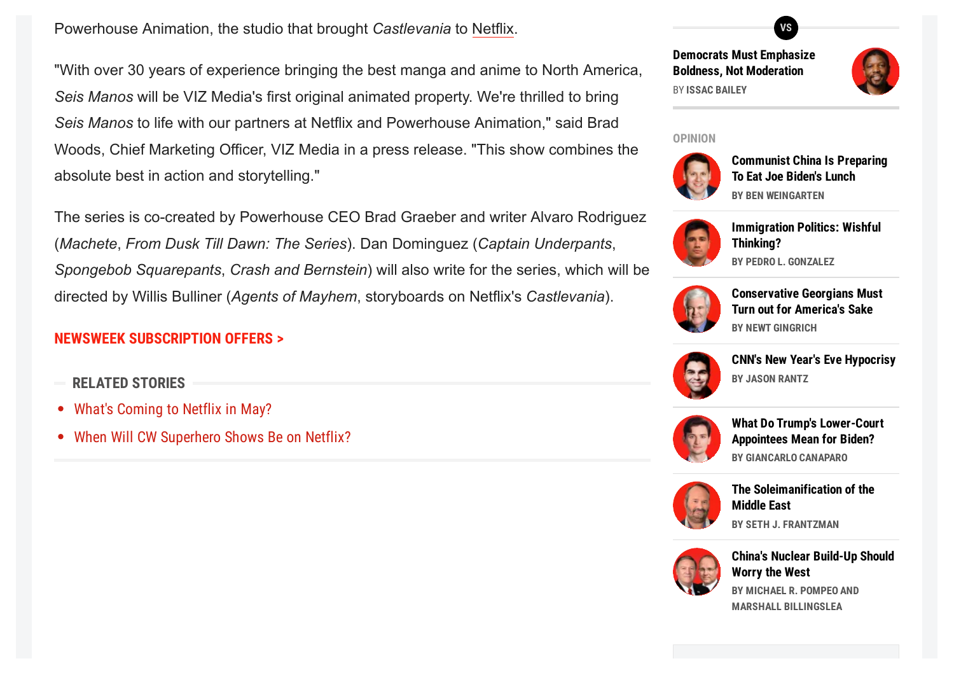[Powerhouse A](https://www.newsweek.com/flash-season-4-netflix-release-black-lightning-arrow-legends-892197)nimation, the studio that brought *Castlevania* to [Netflix](https://www.newsweek.com/amateur-netflix-dyscalculia-number-blindness-movie-learning-disability-885962).

"With over 30 years of experience bringing the best manga and anime to North America, *Seis Manos* will be VIZ Media's first original animated property. We're thrilled to bring *Seis Manos* to life with our partners at Netflix and Powerhouse Animation," said Brad Woods, Chief Marketing Officer, VIZ Media in a press release. "This show combines the absolute best in action and storytelling."

The series is co-created by Powerhouse CEO Brad Graeber and writer Alvaro Rodriguez (*Machete*, *From Dusk Till Dawn: The Series*). Dan Dominguez (*Captain Underpants*, *Spongebob Squarepants*, *Crash and Bernstein*) will also write for the series, which will be directed by Willis Bulliner (*Agents of Mayhem*, storyboards on Netflix's *Castlevania*).

### **NEWSWEEK [SUBSCRIPTION](https://www.newsweek.com/subscribe?view=select&subref=incontent_web_3) OFFERS >**

- **RELATED STORIES**
- What's [Coming](https://www.newsweek.com/netflix-may-2018-releases-shows-904231) to Netflix in May?
- When Will CW [Superhero](https://www.newsweek.com/flash-season-4-netflix-release-black-lightning-arrow-legends-892197) Shows Be on Netflix?

**Democrats Must Emphasize Boldness, Not [Moderation](https://www.newsweek.com/democrats-must-emphasize-boldness-not-moderation-opinion-1556523)** BY **ISSAC BAILEY**

**VS**



#### **[OPINION](https://www.newsweek.com/opinion)**



**[Communist](https://www.newsweek.com/communist-china-preparing-eat-joe-bidens-lunch-opinion-1558822) China Is Preparing To Eat Joe Biden's Lunch BY BEN WEINGARTEN**



**[Immigration](https://www.newsweek.com/immigration-politics-wishful-thinking-opinion-1558783) Politics: Wishful Thinking? BY PEDRO L. GONZALEZ**



**[Conservative](https://www.newsweek.com/conservative-georgians-must-turn-out-americas-sake-opinion-1558769) Georgians Must Turn out for America's Sake BY NEWT GINGRICH**



**CNN's New Year's Eve [Hypocrisy](https://www.newsweek.com/cnns-new-years-eve-hypocrisy-opinion-1558719) BY JASON RANTZ**



**What Do Trump's [Lower-Court](https://www.newsweek.com/what-do-trumps-lower-court-appointees-mean-biden-opinion-1557759) Appointees Mean for Biden? BY GIANCARLO CANAPARO**



**The [Soleimanification](https://www.newsweek.com/soleimanification-middle-east-opinion-1558506) of the Middle East BY SETH J. FRANTZMAN**



**China's Nuclear [Build-Up](https://www.newsweek.com/chinas-nuclear-madness-opinion-1558342) Should Worry the West BY MICHAEL R. POMPEO AND MARSHALL BILLINGSLEA**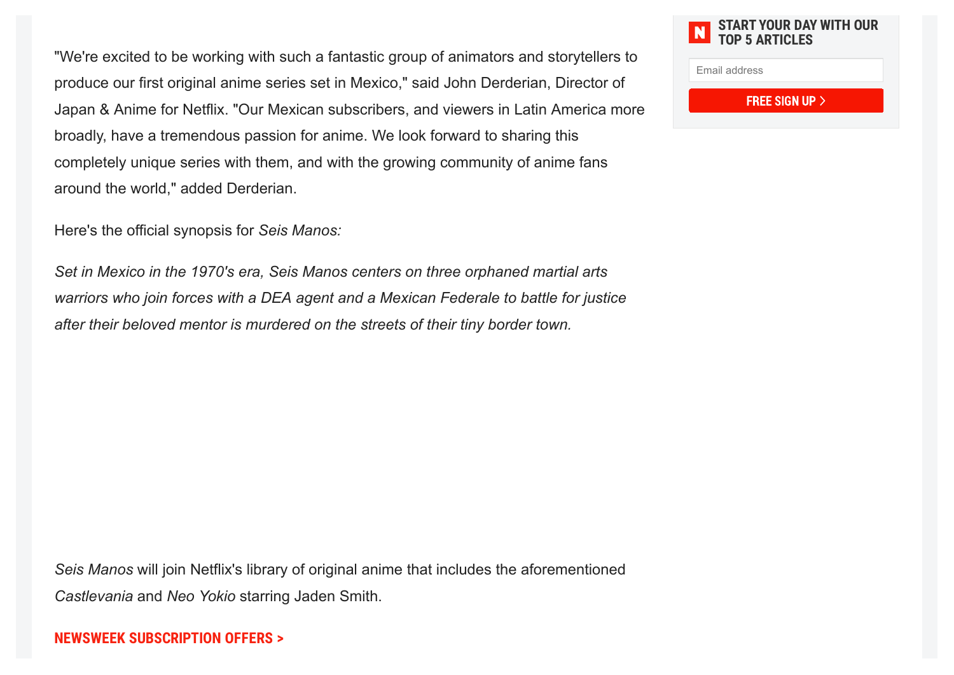"We're excited to be working with such a fantastic group of animators and storytellers to produce our first original anime series set in Mexico," said John Derderian, Director of Japan & Anime for Netflix. "Our Mexican subscribers, and viewers in Latin America more broadly, have a tremendous passion for anime. We look forward to sharing this completely unique series with them, and with the growing community of anime fans around the world," added Derderian.

Here's the official synopsis for *Seis Manos:*

*Set in Mexico in the 1970's era, Seis Manos centers on three orphaned martial arts warriors who join forces with a DEA agent and a Mexican Federale to battle for justice after their beloved mentor is murdered on the streets of their tiny border town.*

*Seis Manos* will join Netflix's library of original anime that includes the aforementioned *Castlevania* and *Neo Yokio* starring Jaden Smith.

**NEWSWEEK [SUBSCRIPTION](https://www.newsweek.com/subscribe?view=select&subref=incontent_web_7) OFFERS >**

### **START YOUR DAY WITH OUR TOP 5 ARTICLES**

Email address

**FREE SIGN UP >**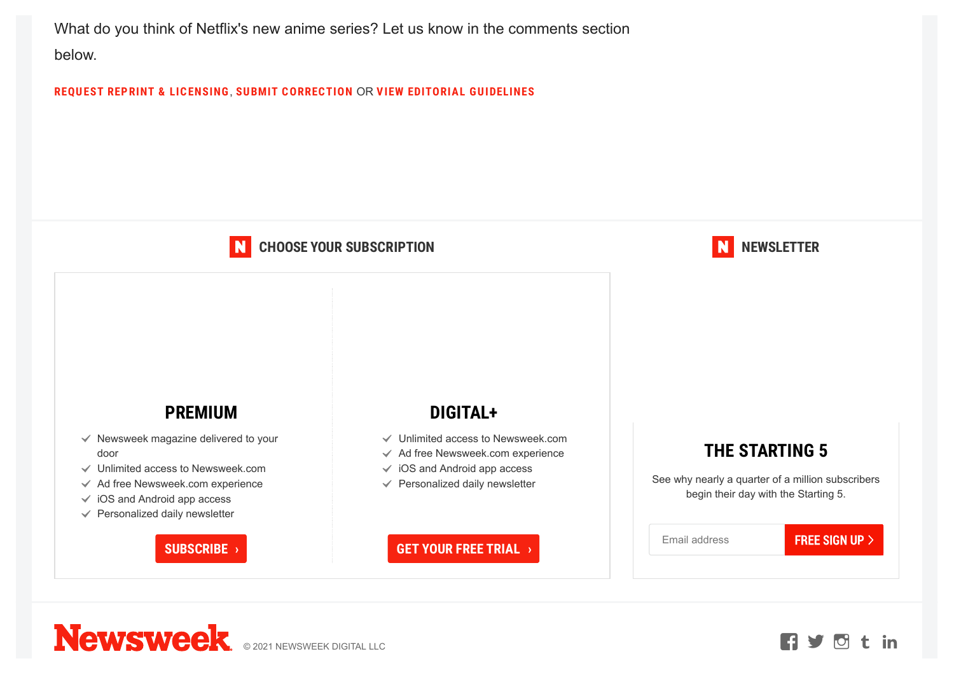What do you think of Netflix's new anime series? Let us know in the comments section below.

**REQUEST REPRINT & [LICENSING](https://www.newsweek.com/contact)**, **SUBMIT CORRECTION** OR **VIEW EDITORIAL [GUIDELINES](https://www.newsweek.com/editorial-guidelines)**

#### **CHOOSE YOUR SUBSCRIPTION** N

### **NEWSLETTER**

### **PREMIUM**

- $\checkmark$  Newsweek magazine delivered to your door
- $\checkmark$  Unlimited access to Newsweek.com
- $\checkmark$  Ad free Newsweek.com experience
- $\checkmark$  iOS and Android app access
- $\checkmark$  Personalized daily newsletter

### **SUBSCRIBE ›**

## **DIGITAL+**

- $\checkmark$  Unlimited access to Newsweek.com
- $\checkmark$  Ad free Newsweek.com experience
- $\checkmark$  iOS and Android app access
- $\checkmark$  Personalized daily newsletter

# **THE STARTING 5**

See why nearly a quarter of a million subscribers begin their day with the Starting 5.

**FREE SIGN UP >** 

**GET YOUR FREE TRIAL ›**

Email address

**Newsweek ORDER CONSTANTING CONSTANTING**